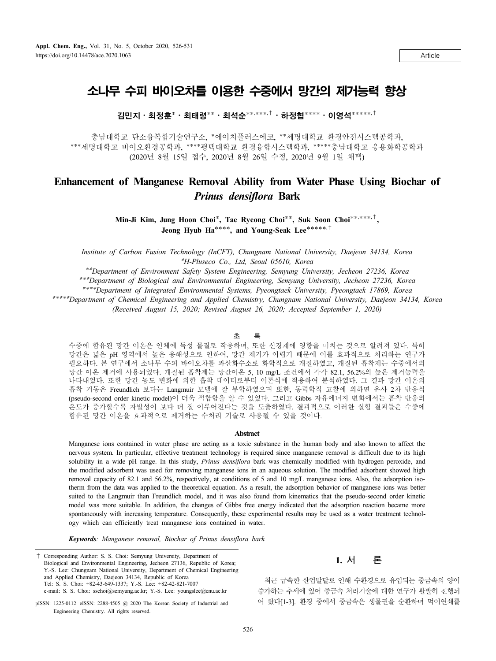Article

# 소나무 수피 바이오차를 이용한 수중에서 망간의 제거능력 향상

김민지⋅최정훈**\***⋅최태령**\*\***⋅최석순**\*\*, \*\*\*,†**⋅하정협**\*\*\*\***⋅이영석**\*\*\*\*\*,†**

충남대학교 탄소융복합기술연구소, **\***에이치플러스에코, **\*\***세명대학교 환경안전시스템공학과, **\*\*\***세명대학교 바이오환경공학과, **\*\*\*\***평택대학교 환경융합시스템학과, **\*\*\*\*\***충남대학교 응용화학공학과 (2020년 8월 15일 접수, 2020년 8월 26일 수정, 2020년 9월 1일 채택)

## **Enhancement of Manganese Removal Ability from Water Phase Using Biochar of**  *Prinus densiflora* **Bark**

**Min-Ji Kim, Jung Hoon Choi\*, Tae Ryeong Choi\*\*, Suk Soon Choi\*\*, \*\*\*,†, Jeong Hyub Ha\*\*\*\*, and Young-Seak Lee\*\*\*\*\*,†**

*Institute of Carbon Fusion Technology (InCFT), Chungnam National University, Daejeon 34134, Korea* **\****H-Pluseco Co., Ltd, Seoul 05610, Korea*

**\*\****Department of Environment Safety System Engineering, Semyung University, Jecheon 27236, Korea*

**\*\*\****Department of Biological and Environmental Engineering, Semyung University, Jecheon 27236, Korea*

**\*\*\*\****Department of Integrated Environmental Systems, Pyeongtaek University, Pyeongtaek 17869, Korea*

**\*\*\*\*\****Department of Chemical Engineering and Applied Chemistry, Chungnam National University, Daejeon 34134, Korea (Received August 15, 2020; Revised August 26, 2020; Accepted September 1, 2020)*

#### 초 록

수중에 함유된 망간 이온은 인체에 독성 물질로 작용하며, 또한 신경계에 영향을 미치는 것으로 알려져 있다. 특히 망간은 넓은 pH 영역에서 높은 용해성으로 인하여, 망간 제거가 어렵기 때문에 이를 효과적으로 처리하는 연구가 필요하다. 본 연구에서 소나무 수피 바이오차를 과산화수소로 화학적으로 개질하였고, 개질된 흡착제는 수중에서의 망간 이온 제거에 사용되었다. 개질된 흡착제는 망간이온 5, 10 mg/L 조건에서 각각 82.1, 56.2%의 높은 제거능력을 나타내었다. 또한 망간 농도 변화에 의한 흡착 데이터로부터 이론식에 적용하여 분석하였다. 그 결과 망간 이온의 흡착 거동은 Freundlich 보다는 Langmuir 모델에 잘 부합하였으며 또한, 동력학적 고찰에 의하면 유사 2차 반응식 (pseudo-second order kinetic model)이 더욱 적합함을 알 수 있었다. 그리고 Gibbs 자유에너지 변화에서는 흡착 반응의 온도가 증가할수록 자발성이 보다 더 잘 이루어진다는 것을 도출하였다. 결과적으로 이러한 실험 결과들은 수중에 함유된 망간 이온을 효과적으로 제거하는 수처리 기술로 사용될 수 있을 것이다.

#### **Abstract**

Manganese ions contained in water phase are acting as a toxic substance in the human body and also known to affect the nervous system. In particular, effective treatment technology is required since manganese removal is difficult due to its high solubility in a wide pH range. In this study, *Prinus densiflora* bark was chemically modified with hydrogen peroxide, and the modified adsorbent was used for removing manganese ions in an aqueous solution. The modified adsorbent showed high removal capacity of 82.1 and 56.2%, respectively, at conditions of 5 and 10 mg/L manganese ions. Also, the adsorption isotherm from the data was applied to the theoretical equation. As a result, the adsorption behavior of manganese ions was better suited to the Langmuir than Freundlich model, and it was also found from kinematics that the pseudo-second order kinetic model was more suitable. In addition, the changes of Gibbs free energy indicated that the adsorption reaction became more spontaneously with increasing temperature. Consequently, these experimental results may be used as a water treatment technology which can efficiently treat manganese ions contained in water.

*Keywords: Manganese removal, Biochar of Prinus densiflora bark* 

† Corresponding Author: S. S. Choi: Semyung University, Department of Biological and Environmental Engineering, Jecheon 27136, Republic of Korea; Y.-S. Lee: Chungnam National University, Department of Chemical Engineering and Applied Chemistry, Daejeon 34134, Republic of Korea Tel: S. S. Choi: +82-43-649-1337; Y.-S. Lee: +82-42-821-7007 e-mail: S. S. Choi: sschoi@semyung.ac.kr; Y.-S. Lee: youngslee@cnu.ac.kr

pISSN: 1225-0112 eISSN: 2288-4505 @ 2020 The Korean Society of Industrial and Engineering Chemistry. All rights reserved.

### **1. 서 론**

최근 급속한 산업발달로 인해 수환경으로 유입되는 중금속의 양이 증가하는 추세에 있어 중금속 처리기술에 대한 연구가 활발히 진행되 어 왔다[1-3]. 환경 중에서 중금속은 생물권을 순환하며 먹이연쇄를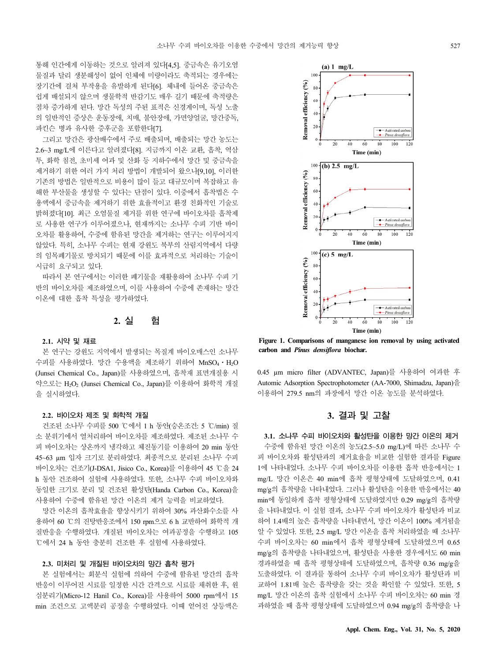통해 인간에게 이동하는 것으로 알려져 있다[4,5]. 중금속은 유기오염 물질과 달리 생분해성이 없어 인체에 미량이라도 축적되는 경우에는 장기간에 걸쳐 부작용을 유발하게 된다[6]. 체내에 들어온 중금속은 쉽게 배설되지 않으며 생물학적 반감기도 매우 길기 때문에 축적량은 점차 증가하게 된다. 망간 독성의 주된 표적은 신경계이며, 독성 노출 의 일반적인 증상은 운동장애, 치매, 불안장애, 가면양얼굴, 망간중독, 파킨슨 병과 유사한 증후군을 포함한다[7].

그리고 망간은 광산배수에서 주로 배출되며, 배출되는 망간 농도는 2.6~3 mg/L에 이른다고 알려졌다[8]. 지금까지 이온 교환, 흡착, 역삼 투, 화학 침전, 초미세 여과 및 산화 등 지하수에서 망간 및 중금속을 제거하기 위한 여러 가지 처리 방법이 개발되어 왔으나[9,10], 이러한 기존의 방법은 일반적으로 비용이 많이 들고 대규모이며 복잡하고 유 해한 부산물을 생성할 수 있다는 단점이 있다. 이중에서 흡착법은 수 용액에서 중금속을 제거하기 위한 효율적이고 환경 친화적인 기술로 밝혀졌다[10]. 최근 오염물질 제거를 위한 연구에 바이오차를 흡착제 로 사용한 연구가 이루어졌으나, 현재까지는 소나무 수피 기반 바이 오차를 활용하여, 수중에 함유된 망간을 제거하는 연구는 이루어지지 않았다. 특히, 소나무 수피는 현재 강원도 북부의 산림지역에서 다량 의 임목폐기물로 방치되기 때문에 이를 효과적으로 처리하는 기술이 시급히 요구되고 있다.

따라서 본 연구에서는 이러한 폐기물을 재활용하여 소나무 수피 기 반의 바이오차를 제조하였으며, 이를 사용하여 수중에 존재하는 망간 이온에 대한 흡착 특성을 평가하였다.

### **2. 실 험**

#### **2.1. 시약 및 재료**

본 연구는 강원도 지역에서 발생되는 목질계 바이오매스인 소나무 수피를 사용하였다. 망간 수용액을 제조하기 위하여 MnSO4⋅H2O (Junsei Chemical Co., Japan)를 사용하였으며, 흡착재 표면개질용 시 약으로는 H2O2 (Junsei Chemical Co., Japan)를 이용하여 화학적 개질 을 실시하였다.

### **2.2. 바이오차 제조 및 화학적 개질**

건조된 소나무 수피를 500 ℃에서 1 h 동안(승온조건: 5 ℃/min) 질 소 분위기에서 열처리하여 바이오차를 제조하였다. 제조된 소나무 수 피 바이오차는 상온까지 냉각하고 체진동기를 이용하여 20 min 동안 45~63 µm 입자 크기로 분리하였다. 최종적으로 분리된 소나무 수피 바이오차는 건조기(J-DSA1, Jisico Co., Korea)를 이용하여 45 ℃을 24 h 동안 건조하여 실험에 사용하였다. 또한, 소나무 수피 바이오차와 동일한 크기로 분리 및 건조된 활성탄(Handa Carbon Co., Korea)을 사용하여 수중에 함유된 망간 이온의 제거 능력을 비교하였다.

망간 이온의 흡착효율을 향상시키기 위하여 30% 과산화수소를 사 용하여 60 ℃의 진탕반응조에서 150 rpm으로 6 h 교반하여 화학적 개 질반응을 수행하였다. 개질된 바이오차는 여과공정을 수행하고 105 ℃에서 24 h 동안 충분히 건조한 후 실험에 사용하였다.

### **2.3. 미처리 및 개질된 바이오차의 망간 흡착 평가**

본 실험에서는 회분식 실험에 의하여 수중에 함유된 망간의 흡착 반응이 이루어진 시료를 일정한 시간 간격으로 시료를 채취한 후, 원 심분리기(Micro-12 Hanil Co., Korea)를 사용하여 5000 rpm에서 15 min 조건으로 고액분리 공정을 수행하였다. 이때 얻어진 상등액은



**Figure 1. Comparisons of manganese ion removal by using activated carbon and** *Pinus densiflora* **biochar.**

0.45 µm micro filter (ADVANTEC, Japan)를 사용하여 여과한 후 Automic Adsorption Spectrophotometer (AA-7000, Shimadzu, Japan)을 이용하여 279.5 nm의 파장에서 망간 이온 농도를 분석하였다.

### **3. 결과 및 고찰**

**3.1. 소나무 수피 바이오차와 활성탄을 이용한 망간 이온의 제거**

수중에 함유된 망간 이온의 농도(2.5~5.0 mg/L)에 따른 소나무 수 피 바이오차와 활성탄과의 제거효율을 비교한 실험한 결과를 Figure 1에 나타내었다. 소나무 수피 바이오차를 이용한 흡착 반응에서는 1 mg/L 망간 이온은 40 min에 흡착 평형상태에 도달하였으며, 0.41 mg/g의 흡착량을 나타내었다. 그러나 활성탄을 이용한 반응에서는 40 min에 동일하게 흡착 평형상태에 도달하였지만 0.29 mg/g의 흡착량 을 나타내었다. 이 실험 결과, 소나무 수피 바이오차가 활성탄과 비교 하여 1.4배의 높은 흡착량을 나타내면서, 망간 이온이 100% 제거됨을 알 수 있었다. 또한, 2.5 mg/L 망간 이온을 흡착 처리하였을 때 소나무 수피 바이오차는 60 min에서 흡착 평형상태에 도달하였으며 0.65 mg/g의 흡착량을 나타내었으며, 활성탄을 사용한 경우에서도 60 min 경과하였을 때 흡착 평형상태에 도달하였으며, 흡착량 0.36 mg/g을 도출하였다. 이 결과를 통하여 소나무 수피 바이오차가 활성탄과 비 교하여 1.81배 높은 흡착량을 갖는 것을 확인할 수 있었다. 또한, 5 mg/L 망간 이온의 흡착 실험에서 소나무 수피 바이오차는 60 min 경 과하였을 때 흡착 평형상태에 도달하였으며 0.94 mg/g의 흡착량을 나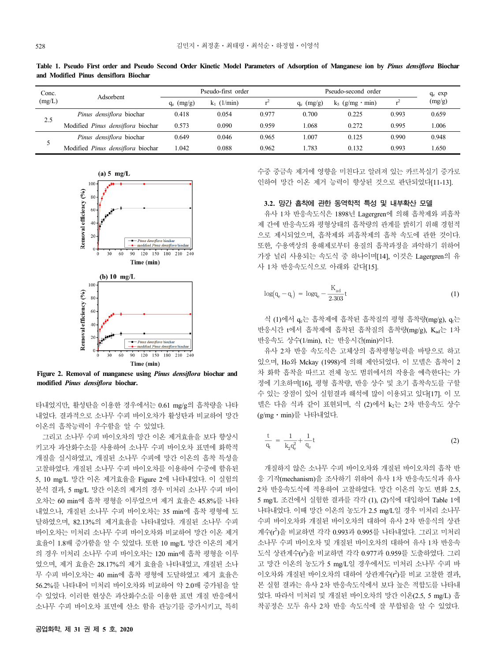| and Modified Pinus densiflora Biochar |                                   |                    |               |       |                     |                    |       |           |
|---------------------------------------|-----------------------------------|--------------------|---------------|-------|---------------------|--------------------|-------|-----------|
| Conc.<br>(mg/L)                       | Adsorbent                         | Pseudo-first order |               |       | Pseudo-second order |                    |       | $q_e$ exp |
|                                       |                                   | $q_e$ (mg/g)       | $k_1$ (1/min) |       | $q_e$ (mg/g)        | $k_5$ (g/mg · min) |       | (mg/g)    |
| 2.5                                   | Pinus densiflora biochar          | 0.418              | 0.054         | 0.977 | 0.700               | 0.225              | 0.993 | 0.659     |
|                                       | Modified Pinus densiflora biochar | 0.573              | 0.090         | 0.959 | 1.068               | 0.272              | 0.995 | 1.006     |
|                                       | Pinus densiflora biochar          | 0.649              | 0.046         | 0.965 | 1.007               | 0.125              | 0.990 | 0.948     |
|                                       |                                   |                    |               |       |                     |                    |       |           |

Modified *Pinus densiflora* biochar 1.042 0.088 0.962 1.783 0.132 0.993 1.650

**Table 1. Pseudo First order and Pseudo Second Order Kinetic Model Parameters of Adsorption of Manganese ion by** *Pinus densiflora* **Biochar** 



**Figure 2. Removal of manganese using** *Pinus densiflora* **biochar and modified** *Pinus densiflora* **biochar.**

타내었지만, 활성탄을 이용한 경우에서는 0.61 mg/g의 흡착량을 나타 내었다. 결과적으로 소나무 수피 바이오차가 활성탄과 비교하여 망간 이온의 흡착능력이 우수함을 알 수 있었다.

그리고 소나무 수피 바이오차의 망간 이온 제거효율을 보다 향상시 키고자 과산화수소를 사용하여 소나무 수피 바이오차 표면에 화학적 개질을 실시하였고, 개질된 소나무 수피에 망간 이온의 흡착 특성을 고찰하였다. 개질된 소나무 수피 바이오차를 이용하여 수중에 함유된 5, 10 mg/L 망간 이온 제거효율을 Figure 2에 나타내었다. 이 실험의 분석 결과, 5 mg/L 망간 이온의 제거의 경우 미처리 소나무 수피 바이 오차는 60 min에 흡착 평형을 이루었으며 제거 효율은 45.8%를 나타 내었으나, 개질된 소나무 수피 바이오차는 35 min에 흡착 평형에 도 달하였으며, 82.13%의 제거효율을 나타내었다. 개질된 소나무 수피 바이오차는 미처리 소나무 수피 바이오차와 비교하여 망간 이온 제거 효율이 1.8배 증가함을 알 수 있었다. 또한 10 mg/L 망간 이온의 제거 의 경우 미처리 소나무 수피 바이오차는 120 min에 흡착 평형을 이루 었으며, 제거 효율은 28.17%의 제거 효율을 나타내었고, 개질된 소나 무 수피 바이오차는 40 min에 흡착 평형에 도달하였고 제거 효율은 56.2%를 나타내어 미처리 바이오차와 비교하여 약 2.0배 증가됨을 알 수 있었다. 이러한 현상은 과산화수소를 이용한 표면 개질 반응에서 소나무 수피 바이오차 표면에 산소 함유 관능기를 증가시키고, 특히

수중 중금속 제거에 영향을 미친다고 알려져 있는 카르복실기 증가로 인하여 망간 이온 제거 능력이 향상된 것으로 판단되었다[11-13].

### **3.2. 망간 흡착에 관한 동역학적 특성 및 내부확산 모델**

유사 1차 반응속도식은 1898년 Lagergren에 의해 흡착제와 피흡착 제 간에 반응속도와 평형상태의 흡착량의 관계를 밝히기 위해 경험적 으로 제시되었으며, 흡착제와 피흡착제의 흡착 속도에 관한 것이다. 또한, 수용액상의 용해제로부터 용질의 흡착과정을 파악하기 위하여 가장 널리 사용되는 속도식 중 하나이며[14], 이것은 Lagergren의 유 사 1차 반응속도식으로 아래와 같다[15].

$$
log(q_e - q_t) = logq_e - \frac{K_{ad}}{2.303}t
$$
\n(1)

식 (1)에서  $q_e$ 는 흡착제에 흡착된 흡착질의 평형 흡착량(mg/g),  $q_t$ 는 반응시간 t에서 흡착제에 흡착된 흡착질의 흡착량(mg/g), Kad는 1차 반응속도 상수(1/min), t는 반응시간(min)이다.

유사 2차 반응 속도식은 고체상의 흡착평형능력을 바탕으로 하고 있으며, Ho와 Mckay (1998)에 의해 제안되었다. 이 모델은 흡착이 2 차 화학 흡착을 따르고 전체 농도 범위에서의 작용을 예측한다는 가 정에 기초하며[16], 평형 흡착량, 반응 상수 및 초기 흡착속도를 구할 수 있는 장점이 있어 실험결과 해석에 많이 이용되고 있다[17]. 이 모 델은 다음 식과 같이 표현되며, 식 (2)에서 k2는 2차 반응속도 상수 (g/mg⋅min)를 나타내었다.

$$
\frac{t}{q_t} = \frac{1}{k_2 q_e^2} + \frac{1}{q_e} t \tag{2}
$$

개질하지 않은 소나무 수피 바이오차와 개질된 바이오차의 흡착 반 응 기작(mechanism)을 조사하기 위하여 유사 1차 반응속도식과 유사 2차 반응속도식에 적용하여 고찰하였다. 망간 이온의 농도 변화 2.5, 5 mg/L 조건에서 실험한 결과를 각각 (1), (2)식에 대입하여 Table 1에 나타내었다. 이때 망간 이온의 농도가 2.5 mg/L일 경우 미처리 소나무 수피 바이오차와 개질된 바이오차의 대하여 유사 2차 반응식의 상관 계수(r<sup>2</sup>)을 비교하면 각각 0.993과 0.995를 나타내었다. 그리고 미처리 소나무 수피 바이오차 및 개질된 바이오차의 대하여 유사 1차 반응속 도식 상관계수(r2 )을 비교하면 각각 0.977과 0.959를 도출하였다. 그리 고 망간 이온의 농도가 5 mg/L일 경우에서도 미처리 소나무 수피 바 이오차와 개질된 바이오차의 대하여 상관계수(r<sup>2</sup>)를 비교 고찰한 결과, 본 실험 결과는 유사 2차 반응속도식에서 보다 높은 적합도를 나타내 었다. 따라서 미처리 및 개질된 바이오차의 망간 이온(2.5, 5 mg/L) 흡 착공정은 모두 유사 2차 반응 속도식에 잘 부합됨을 알 수 있었다.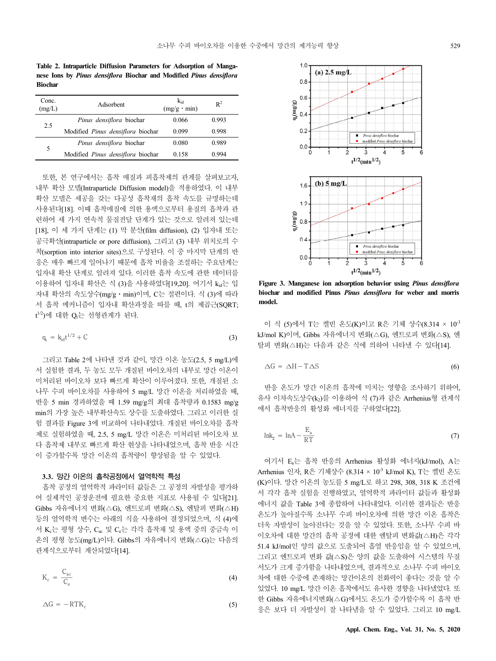**Table 2. Intraparticle Diffusion Parameters for Adsorption of Manganese Ions by** *Pinus densiflora* **Biochar and Modified** *Pinus densiflora* **Biochar**

| Conc.<br>(mg/L) | Adsorbent                         | $k_{id}$<br>$(mg/g \cdot min)$ | $\mathbb{R}^2$ |
|-----------------|-----------------------------------|--------------------------------|----------------|
|                 | Pinus densiflora biochar          | 0.066                          | 0.993          |
| 2.5             | Modified Pinus densiflora biochar | 0.099                          | 0.998          |
|                 | Pinus densiflora biochar          | 0.080                          | 0.989          |
| 5               | Modified Pinus densiflora biochar | 0.158                          | በ 994          |

또한, 본 연구에서는 흡착 매질과 피흡착제의 관계를 살펴보고자, 내부 확산 모델(Intraparticle Diffusion model)을 적용하였다. 이 내부 확산 모델은 세공을 갖는 다공성 흡착재의 흡착 속도를 규명하는데 사용된다[18]. 이때 흡착매질에 의한 용액으로부터 용질의 흡착과 관 련하여 세 가지 연속적 물질전달 단계가 있는 것으로 알려져 있는데 [18], 이 세 가지 단계는 (1) 막 분산(film diffusion), (2) 입자내 또는 공극확산(intraparticle or pore diffusion), 그리고 (3) 내부 위치로의 수 착(sorption into interior sites)으로 구성된다. 이 중 마지막 단계의 반 응은 매우 빠르게 일어나기 때문에 흡착 비율을 조절하는 주요단계는 입자내 확산 단계로 알려져 있다. 이러한 흡착 속도에 관한 데이터를 이용하여 입자내 확산은 식 (3)을 사용하였다[19,20]. 여기서 kid는 입 자내 확산의 속도상수(mg/g⋅min)이며, C는 절편이다. 식 (3)에 따라 서 흡착 메커니즘이 입자내 확산과정을 따를 때, t의 제곱근(SQRT;  $t^{1/2}$ )에 대한 Q $t$ 는 선형관계가 된다.

$$
q_t = k_{id}t^{1/2} + C \tag{3}
$$

그리고 Table 2에 나타낸 것과 같이, 망간 이온 농도(2.5, 5 mg/L)에 서 실험한 결과, 두 농도 모두 개질된 바이오차의 내부로 망간 이온이 미처리된 바이오차 보다 빠르게 확산이 이루어졌다. 또한, 개질된 소 나무 수피 바이오차를 사용하여 5 mg/L 망간 이온을 처리하였을 때, 반응 5 min 경과하였을 때 1.59 mg/g의 최대 흡착량과 0.1583 mg/g min의 가장 높은 내부확산속도 상수를 도출하였다. 그리고 이러한 실 험 결과를 Figure 3에 비교하여 나타내었다. 개질된 바이오차를 흡착 제로 실험하였을 때, 2.5, 5 mg/L 망간 이온은 미처리된 바이오차 보 다 흡착제 내부로 빠르게 확산 현상을 나타내었으며, 흡착 반응 시간 이 증가할수록 망간 이온의 흡착량이 향상됨을 알 수 있었다.

### **3.3. 망간 이온의 흡착공정에서 열역학적 특성**

흡착 공정의 열역학적 파라미터 값들은 그 공정의 자발성을 평가하 여 실제적인 공정운전에 필요한 중요한 지표로 사용될 수 있다[21]. Gibbs 자유에너지 변화(△G), 엔트로피 변화(△S), 엔탈피 변화(△H) 등의 열역학적 변수는 아래의 식을 사용하여 결정되었으며, 식 (4)에 서 Kc는 평형 상수, Cac 및 Cc는 각각 흡착재 및 용액 중의 중금속 이 온의 평형 농도(mg/L)이다. Gibbs의 자유에너지 변화(△G)는 다음의 관계식으로부터 계산되었다[14].

$$
K_c = \frac{C_{ac}}{C_e} \tag{4}
$$

$$
\Delta G = -RTK_c \tag{5}
$$



**Figure 3. Manganese ion adsorption behavior using** *Pinus densiflora* **biochar and modified Pinus** *Pinus densiflora* **for weber and morris model.**

이 식 (5)에서 T는 켈빈 온도(K)이고 R은 기체 상수(8.314 × 10-3 kJ/mol K)이며, Gibbs 자유에너지 변화(△G), 엔트로피 변화(△S), 엔 탈피 변화(△H)는 다음과 같은 식에 의하여 나타낼 수 있다[14].

$$
\Delta G = \Delta H - T \Delta S \tag{6}
$$

반응 온도가 망간 이온의 흡착에 미치는 영향을 조사하기 위하여, 유사 이차속도상수(k2)를 이용하여 식 (7)과 같은 Arrhenius형 관계식 에서 흡착반응의 활성화 에너지를 구하였다[22].

$$
lnk_2 = lnA - \frac{E_a}{RT}
$$
 (7)

여기서 Ea는 흡착 반응의 Arrhenius 활성화 에너지(kJ/mol), A는 Arrhenius 인자, R은 기체상수 (8.314 × 10-3 kJ/mol K), T는 켈빈 온도 (K)이다. 망간 이온의 농도를 5 mg/L로 하고 298, 308, 318 K 조건에 서 각각 흡착 실험을 진행하였고, 열역학적 파라미터 값들과 활성화 에너지 값을 Table 3에 종합하여 나타내었다. 이러한 결과들은 반응 온도가 높아질수록 소나무 수피 바이오차에 의한 망간 이온 흡착은 더욱 자발성이 높아진다는 것을 알 수 있었다. 또한, 소나무 수피 바 이오차에 대한 망간의 흡착 공정에 대한 엔탈피 변화값(△H)은 각각 51.4 kJ/mol인 양의 값으로 도출되어 흡열 반응임을 알 수 있었으며, 그리고 엔트로피 변화 값(△S)은 양의 값을 도출하여 시스템의 무질 서도가 크게 증가함을 나타내었으며, 결과적으로 소나무 수피 바이오 차에 대한 수중에 존재하는 망간이온의 친화력이 좋다는 것을 알 수 있었다. 10 mg/L 망간 이온 흡착에서도 유사한 경향을 나타냈었다. 또 한 Gibbs 자유에너지변화(△G)에서도 온도가 증가할수록 이 흡착 반 응은 보다 더 자발성이 잘 나타냄을 알 수 있었다. 그리고 10 mg/L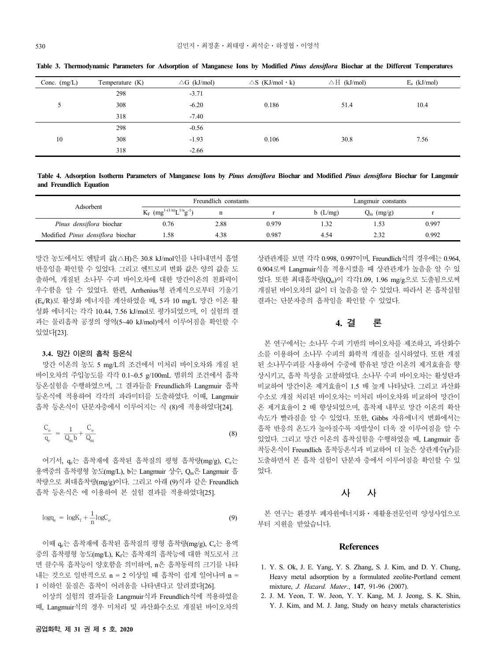| Conc. $(mg/L)$ | Temperature $(K)$ | $\triangle G$ (kJ/mol) | $\triangle S$ (KJ/mol $\cdot$ k) | $\triangle H$ (kJ/mol) | $E_a$ (kJ/mol) |
|----------------|-------------------|------------------------|----------------------------------|------------------------|----------------|
|                | 298               | $-3.71$                |                                  |                        |                |
|                | 308               | $-6.20$                | 0.186                            | 51.4                   | 10.4           |
|                | 318               | $-7.40$                |                                  |                        |                |
|                | 298               | $-0.56$                |                                  |                        |                |
| 10             | 308<br>$-1.93$    | 0.106                  | 30.8                             | 7.56                   |                |
|                | 318               | $-2.66$                |                                  |                        |                |

**Table 3. Thermodynamic Parameters for Adsorption of Manganese Ions by Modified** *Pinus densiflora* **Biochar at the Different Temperatures**

**Table 4. Adsorption Isotherm Parameters of Manganese Ions by** *Pinus densiflora* **Biochar and Modified** *Pinus densiflora* **Biochar for Langmuir and Freundlich Equation**

| Adsorbent                         | Freundlich constants                            |      |       | Langmuir constants |              |       |
|-----------------------------------|-------------------------------------------------|------|-------|--------------------|--------------|-------|
|                                   | $K_F$ (mg <sup>1-(1/n</sup> ) $L^{1/n}g^{-1}$ ) | n    |       | b(L/mg)            | $Q_m$ (mg/g) |       |
| Pinus densiflora biochar          | 0.76                                            | 2.88 | 0.979 | .32                |              | 0.997 |
| Modified Pinus densiflora biochar | .58                                             | 4.38 | 0.987 | 4.54               | 2.32         | 0.992 |

망간 농도에서도 엔탈피 값(△H)은 30.8 kJ/mol인를 나타내면서 흡열 반응임을 확인할 수 있었다. 그리고 엔트로피 변화 값은 양의 값을 도 출하여, 개질된 소나무 수피 바이오차에 대한 망간이온의 친화력이 우수함을 알 수 있었다. 한편, Arrhenius형 관계식으로부터 기울기 (Ea/R)로 활성화 에너지를 계산하였을 때, 5과 10 mg/L 망간 이온 활 성화 에너지는 각각 10.44, 7.56 kJ/mol로 평가되었으며, 이 실험의 결 과는 물리흡착 공정의 영역(5~40 kJ/mol)에서 이루어짐을 확인할 수 있었다[23].

#### **3.4. 망간 이온의 흡착 등온식**

망간 이온의 농도 5 mg/L의 조건에서 미처리 바이오차와 개질 된 바이오차의 주입농도를 각각 0.1~0.5 g/100mL 범위의 조건에서 흡착 등온실험을 수행하였으며, 그 결과들을 Freundlich와 Langmuir 흡착 등온식에 적용하여 각각의 파라미터를 도출하였다. 이때, Langmuir 흡착 등온식이 단분자층에서 이루어지는 식 (8)에 적용하였다[24].

$$
\frac{C_e}{q_e} = \frac{1}{Q_m b} + \frac{C_e}{Q_m} \tag{8}
$$

여기서, α 는 흡착재에 흡착된 흡착질의 평형 흡착량(mg/g), C 는 용액중의 흡착평형 농도(mg/L), b는 Langmuir 상수, Qm은 Langmuir 흡 착량으로 최대흡착량(mg/g)이다. 그리고 아래 (9)식과 같은 Freundlich 흡착 등온식은 에 이용하여 본 실험 결과를 적용하였다[25].

$$
\log q_{\rm e} = \log K_{\rm f} + \frac{1}{n} \log C_{\rm e} \tag{9}
$$

이때 qe는 흡착재에 흡착된 흡착질의 평형 흡착량(mg/g), Ce는 용액 중의 흡착평형 농도(mg/L), Kf는 흡착재의 흡착능에 대한 척도로서 크 면 클수록 흡착능이 양호함을 의미하며, n은 흡착동력의 크기를 나타 내는 것으로 일반적으로 n = 2 이상일 때 흡착이 쉽게 일어나며 n = 1 이하인 물질은 흡착이 어려움을 나타낸다고 알려졌다[26].

이상의 실험의 결과들을 Langmuir식과 Freundlich식에 적용하였을 때, Langmuir식의 경우 미처리 및 과산화수소로 개질된 바이오차의

상관관계를 보면 각각 0.998, 0.997이며, Freundlich식의 경우에는 0.964, 0.904로써 Langmuir식을 적용시켰을 때 상관관계가 높음을 알 수 있 었다. 또한 최대흡착량(Qm)이 각각1.09, 1.96 mg/g으로 도출됨으로써 개질된 바이오차의 값이 더 높음을 알 수 있었다. 따라서 본 흡착실험 결과는 단분자층의 흡착임을 확인할 수 있었다.

### **4. 결 론**

본 연구에서는 소나무 수피 기반의 바이오차를 제조하고, 과산화수 소를 이용하여 소나무 수피의 화학적 개질을 실시하였다. 또한 개질 된 소나무수피를 사용하여 수중에 함유된 망간 이온의 제거효율을 향 상시키고, 흡착 특성을 고찰하였다. 소나무 수피 바이오차는 활성탄과 비교하여 망간이온 제거효율이 1.5 배 높게 나타났다. 그리고 과산화 수소로 개질 처리된 바이오차는 미처리 바이오차와 비교하여 망간이 온 제거효율이 2 배 향상되었으며, 흡착제 내부로 망간 이온의 확산 속도가 빨라짐을 알 수 있었다. 또한, Gibbs 자유에너지 변화에서는 흡착 반응의 온도가 높아질수록 자발성이 더욱 잘 이루어짐을 알 수 있었다. 그리고 망간 이온의 흡착실험을 수행하였을 때, Langmuir 흡 착등온식이 Freundlich 흡착등온식과 비교하여 더 높은 상관계수(r<sup>2</sup>)를 도출하면서 본 흡착 실험이 단분자 층에서 이루어짐을 확인할 수 있 었다.

### **사 사**

본 연구는 환경부 폐자원에너지화⋅재활용전문인력 양성사업으로 부터 지원을 받았습니다.

### **References**

- 1. Y. S. Ok, J. E. Yang, Y. S. Zhang, S. J. Kim, and D. Y. Chung, Heavy metal adsorption by a formulated zeolite-Portland cement mixture, *J. Hazard. Mater.*, **147**, 91-96 (2007).
- 2. J. M. Yeon, T. W. Jeon, Y. Y. Kang, M. J. Jeong, S. K. Shin, Y. J. Kim, and M. J. Jang, Study on heavy metals characteristics